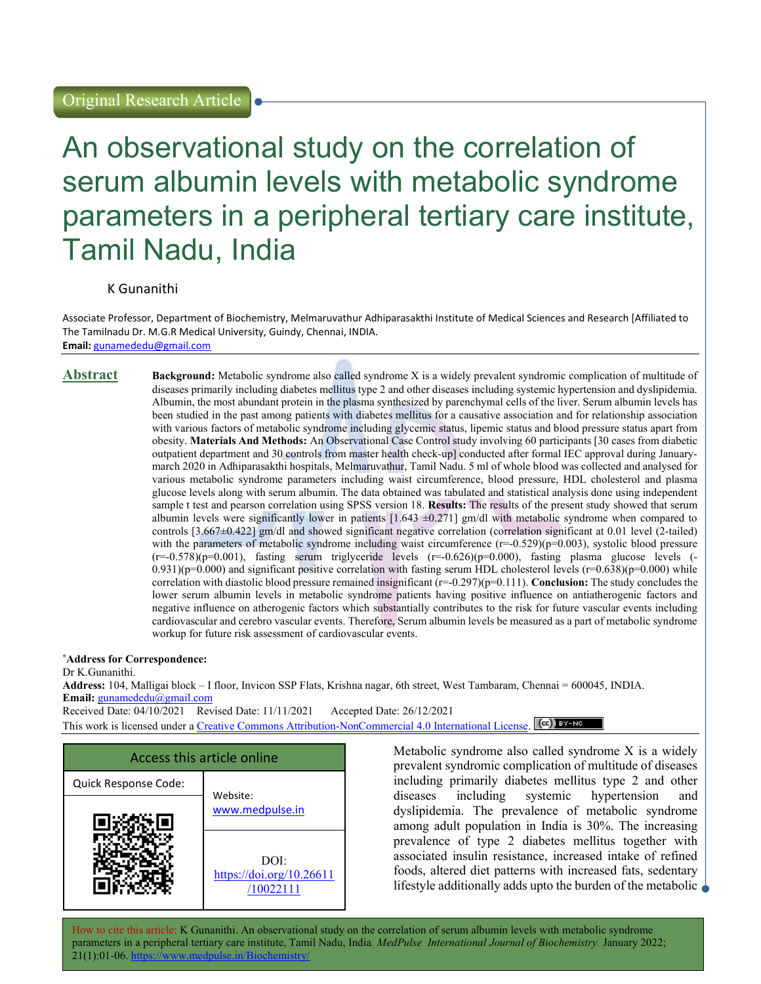# An observational study on the correlation of serum albumin levels with metabolic syndrome parameters in a peripheral tertiary care institute, Tamil Nadu, India

## K Gunanithi

Associate Professor, Department of Biochemistry, Melmaruvathur Adhiparasakthi Institute of Medical Sciences and Research [Affiliated to The Tamilnadu Dr. M.G.R Medical University, Guindy, Chennai, INDIA. Email: gunamededu@gmail.com

Abstract Background: Metabolic syndrome also called syndrome X is a widely prevalent syndromic complication of multitude of diseases primarily including diabetes mellitus type 2 and other diseases including systemic hypertension and dyslipidemia. Albumin, the most abundant protein in the plasma synthesized by parenchymal cells of the liver. Serum albumin levels has been studied in the past among patients with diabetes mellitus for a causative association and for relationship association with various factors of metabolic syndrome including glycemic status, lipemic status and blood pressure status apart from obesity. Materials And Methods: An Observational Case Control study involving 60 participants [30 cases from diabetic outpatient department and 30 controls from master health check-up] conducted after formal IEC approval during Januarymarch 2020 in Adhiparasakthi hospitals, Melmaruvathur, Tamil Nadu. 5 ml of whole blood was collected and analysed for various metabolic syndrome parameters including waist circumference, blood pressure, HDL cholesterol and plasma glucose levels along with serum albumin. The data obtained was tabulated and statistical analysis done using independent sample t test and pearson correlation using SPSS version 18. Results: The results of the present study showed that serum albumin levels were significantly lower in patients  $[1.643 \pm 0.271]$  gm/dl with metabolic syndrome when compared to controls [3.667±0.422] gm/dl and showed significant negative correlation (correlation significant at 0.01 level (2-tailed) with the parameters of metabolic syndrome including waist circumference  $(r=-0.529)(p=0.003)$ , systolic blood pressure  $(r=-0.578)(p=0.001)$ , fasting serum triglyceride levels  $(r=-0.626)(p=0.000)$ , fasting plasma glucose levels (- $0.931$ (p=0.000) and significant positive correlation with fasting serum HDL cholesterol levels (r=0.638)(p=0.000) while correlation with diastolic blood pressure remained insignificant  $(r=0.297)(p=0.111)$ . **Conclusion:** The study concludes the lower serum albumin levels in metabolic syndrome patients having positive influence on antiatherogenic factors and negative influence on atherogenic factors which substantially contributes to the risk for future vascular events including cardiovascular and cerebro vascular events. Therefore, Serum albumin levels be measured as a part of metabolic syndrome workup for future risk assessment of cardiovascular events.

#### \*Address for Correspondence:

Dr K.Gunanithi.

Address: 104, Malligai block – I floor, Invicon SSP Flats, Krishna nagar, 6th street, West Tambaram, Chennai = 600045, INDIA. Email: gunamededu@gmail.com

Received Date: 04/10/2021 Revised Date: 11/11/2021 Accepted Date: 26/12/2021

This work is licensed under a Creative Commons Attribution-NonCommercial 4.0 International License. (cc) BY-NO



Metabolic syndrome also called syndrome X is a widely prevalent syndromic complication of multitude of diseases including primarily diabetes mellitus type 2 and other diseases including systemic hypertension and dyslipidemia. The prevalence of metabolic syndrome among adult population in India is 30%. The increasing prevalence of type 2 diabetes mellitus together with associated insulin resistance, increased intake of refined foods, altered diet patterns with increased fats, sedentary lifestyle additionally adds upto the burden of the metabolic  $\Box$ 

How to cite this article: K Gunanithi. An observational study on the correlation of serum albumin levels with metabolic syndrome parameters in a peripheral tertiary care institute, Tamil Nadu, India. MedPulse International Journal of Biochemistry. January 2022;  $21(1):01-06.$  https://www.medulter.in/ $21(1):01-06.$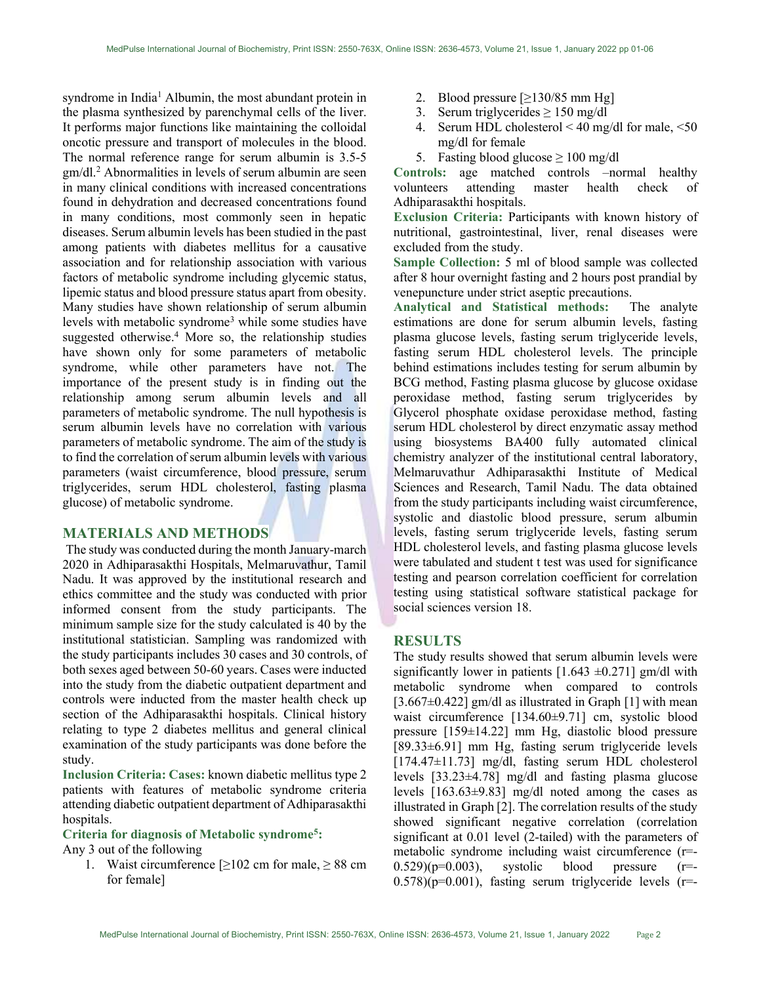syndrome in India<sup>1</sup> Albumin, the most abundant protein in the plasma synthesized by parenchymal cells of the liver. It performs major functions like maintaining the colloidal oncotic pressure and transport of molecules in the blood. The normal reference range for serum albumin is 3.5-5 gm/dl.<sup>2</sup> Abnormalities in levels of serum albumin are seen in many clinical conditions with increased concentrations found in dehydration and decreased concentrations found in many conditions, most commonly seen in hepatic diseases. Serum albumin levels has been studied in the past among patients with diabetes mellitus for a causative association and for relationship association with various factors of metabolic syndrome including glycemic status, lipemic status and blood pressure status apart from obesity. Many studies have shown relationship of serum albumin levels with metabolic syndrome<sup>3</sup> while some studies have suggested otherwise.<sup>4</sup> More so, the relationship studies have shown only for some parameters of metabolic syndrome, while other parameters have not. The importance of the present study is in finding out the relationship among serum albumin levels and all parameters of metabolic syndrome. The null hypothesis is serum albumin levels have no correlation with various parameters of metabolic syndrome. The aim of the study is to find the correlation of serum albumin levels with various parameters (waist circumference, blood pressure, serum triglycerides, serum HDL cholesterol, fasting plasma glucose) of metabolic syndrome.

## MATERIALS AND METHODS

 The study was conducted during the month January-march 2020 in Adhiparasakthi Hospitals, Melmaruvathur, Tamil Nadu. It was approved by the institutional research and ethics committee and the study was conducted with prior informed consent from the study participants. The minimum sample size for the study calculated is 40 by the institutional statistician. Sampling was randomized with the study participants includes 30 cases and 30 controls, of both sexes aged between 50-60 years. Cases were inducted into the study from the diabetic outpatient department and controls were inducted from the master health check up section of the Adhiparasakthi hospitals. Clinical history relating to type 2 diabetes mellitus and general clinical examination of the study participants was done before the study.

Inclusion Criteria: Cases: known diabetic mellitus type 2 patients with features of metabolic syndrome criteria attending diabetic outpatient department of Adhiparasakthi hospitals.

#### Criteria for diagnosis of Metabolic syndrome<sup>5</sup>:

Any 3 out of the following

1. Waist circumference  $\geq 102$  cm for male,  $\geq 88$  cm for female]

- 2. Blood pressure  $\geq$ 130/85 mm Hg]
- 3. Serum triglycerides  $\geq 150$  mg/dl
- 4. Serum HDL cholesterol  $\leq 40$  mg/dl for male,  $\leq 50$ mg/dl for female
- 5. Fasting blood glucose  $\geq 100$  mg/dl

Controls: age matched controls –normal healthy volunteers attending master health check of Adhiparasakthi hospitals.

Exclusion Criteria: Participants with known history of nutritional, gastrointestinal, liver, renal diseases were excluded from the study.

Sample Collection: 5 ml of blood sample was collected after 8 hour overnight fasting and 2 hours post prandial by venepuncture under strict aseptic precautions.

Analytical and Statistical methods: The analyte estimations are done for serum albumin levels, fasting plasma glucose levels, fasting serum triglyceride levels, fasting serum HDL cholesterol levels. The principle behind estimations includes testing for serum albumin by BCG method, Fasting plasma glucose by glucose oxidase peroxidase method, fasting serum triglycerides by Glycerol phosphate oxidase peroxidase method, fasting serum HDL cholesterol by direct enzymatic assay method using biosystems BA400 fully automated clinical chemistry analyzer of the institutional central laboratory, Melmaruvathur Adhiparasakthi Institute of Medical Sciences and Research, Tamil Nadu. The data obtained from the study participants including waist circumference, systolic and diastolic blood pressure, serum albumin levels, fasting serum triglyceride levels, fasting serum HDL cholesterol levels, and fasting plasma glucose levels were tabulated and student t test was used for significance testing and pearson correlation coefficient for correlation testing using statistical software statistical package for social sciences version 18.

## **RESULTS**

The study results showed that serum albumin levels were significantly lower in patients  $[1.643 \pm 0.271]$  gm/dl with metabolic syndrome when compared to controls  $[3.667 \pm 0.422]$  gm/dl as illustrated in Graph  $[1]$  with mean waist circumference [134.60±9.71] cm, systolic blood pressure [159±14.22] mm Hg, diastolic blood pressure [89.33±6.91] mm Hg, fasting serum triglyceride levels [174.47±11.73] mg/dl, fasting serum HDL cholesterol levels [33.23±4.78] mg/dl and fasting plasma glucose levels [163.63±9.83] mg/dl noted among the cases as illustrated in Graph [2]. The correlation results of the study showed significant negative correlation (correlation significant at 0.01 level (2-tailed) with the parameters of metabolic syndrome including waist circumference (r=-  $(0.529)(p=0.003)$ , systolic blood pressure  $(r=$  $(0.578)(p=0.001)$ , fasting serum triglyceride levels (r=-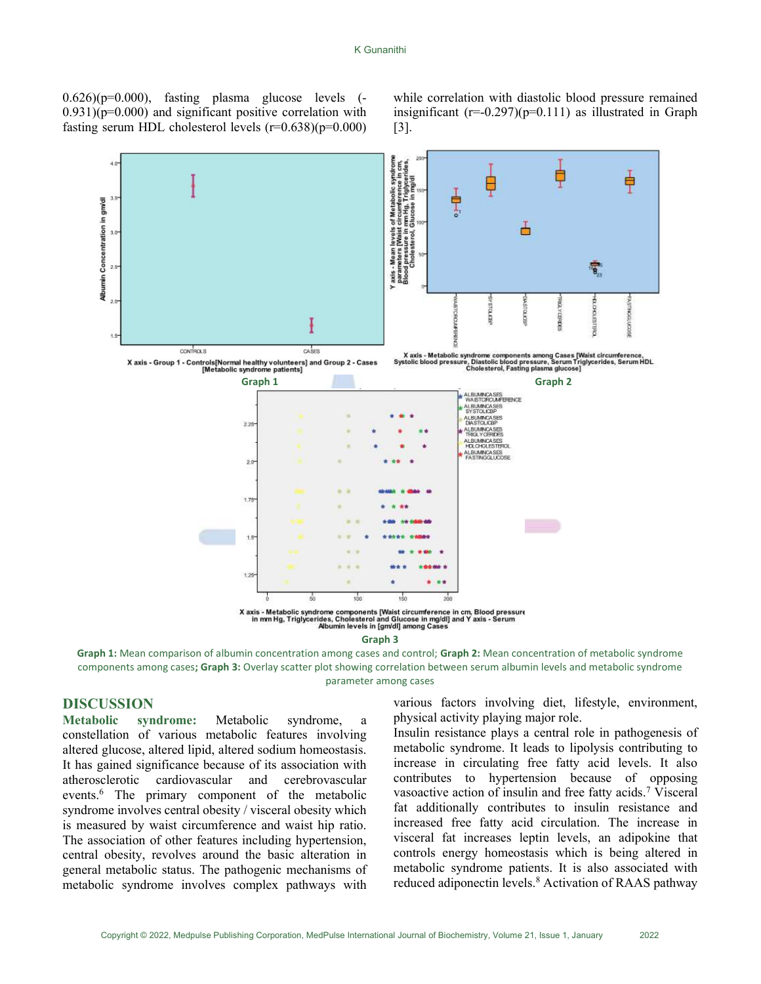$0.626$  $(p=0.000)$ , fasting plasma glucose levels  $(-1.626)(p=0.000)$  $(0.931)(p=0.000)$  and significant positive correlation with fasting serum HDL cholesterol levels  $(r=0.638)(p=0.000)$  while correlation with diastolic blood pressure remained insignificant  $(r=-0.297)(p=0.111)$  as illustrated in Graph [3].



Graph 3

Graph 1: Mean comparison of albumin concentration among cases and control; Graph 2: Mean concentration of metabolic syndrome components among cases; Graph 3: Overlay scatter plot showing correlation between serum albumin levels and metabolic syndrome parameter among cases

# DISCUSSION

Metabolic syndrome: Metabolic syndrome, a constellation of various metabolic features involving altered glucose, altered lipid, altered sodium homeostasis. It has gained significance because of its association with atherosclerotic cardiovascular and cerebrovascular events.<sup>6</sup> The primary component of the metabolic syndrome involves central obesity / visceral obesity which is measured by waist circumference and waist hip ratio. The association of other features including hypertension, central obesity, revolves around the basic alteration in general metabolic status. The pathogenic mechanisms of metabolic syndrome involves complex pathways with

various factors involving diet, lifestyle, environment, physical activity playing major role.

Insulin resistance plays a central role in pathogenesis of metabolic syndrome. It leads to lipolysis contributing to increase in circulating free fatty acid levels. It also contributes to hypertension because of opposing vasoactive action of insulin and free fatty acids.<sup>7</sup> Visceral fat additionally contributes to insulin resistance and increased free fatty acid circulation. The increase in visceral fat increases leptin levels, an adipokine that controls energy homeostasis which is being altered in metabolic syndrome patients. It is also associated with reduced adiponectin levels.<sup>8</sup> Activation of RAAS pathway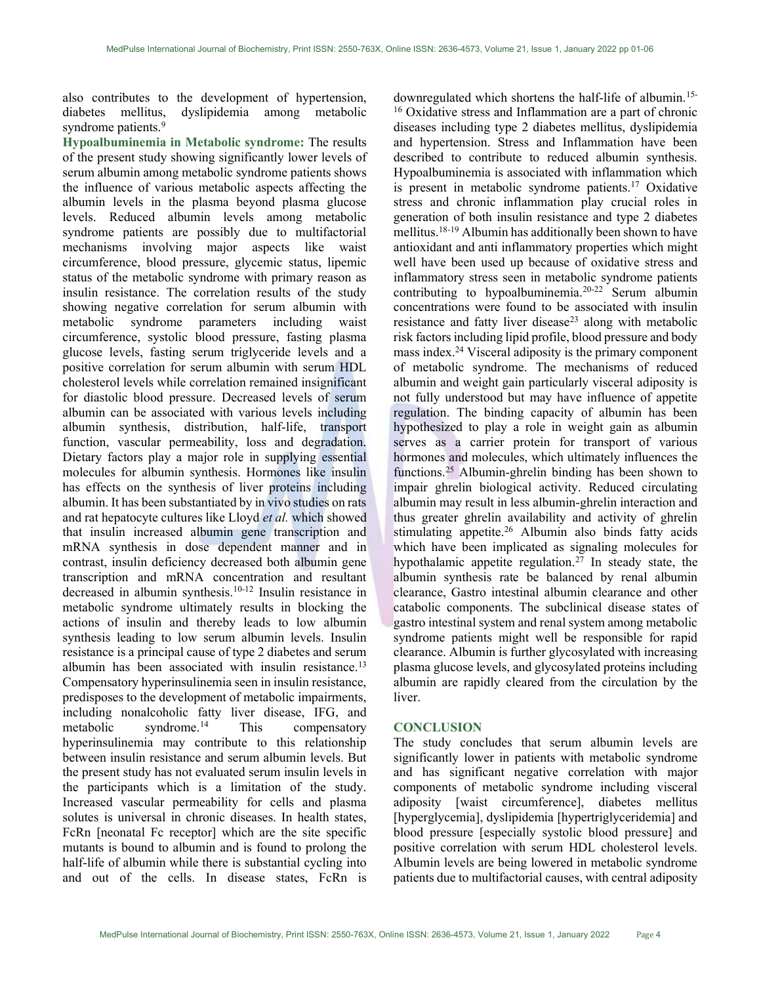also contributes to the development of hypertension, diabetes mellitus, dyslipidemia among metabolic syndrome patients.<sup>9</sup>

Hypoalbuminemia in Metabolic syndrome: The results of the present study showing significantly lower levels of serum albumin among metabolic syndrome patients shows the influence of various metabolic aspects affecting the albumin levels in the plasma beyond plasma glucose levels. Reduced albumin levels among metabolic syndrome patients are possibly due to multifactorial mechanisms involving major aspects like waist circumference, blood pressure, glycemic status, lipemic status of the metabolic syndrome with primary reason as insulin resistance. The correlation results of the study showing negative correlation for serum albumin with metabolic syndrome parameters including waist circumference, systolic blood pressure, fasting plasma glucose levels, fasting serum triglyceride levels and a positive correlation for serum albumin with serum HDL cholesterol levels while correlation remained insignificant for diastolic blood pressure. Decreased levels of serum albumin can be associated with various levels including albumin synthesis, distribution, half-life, transport function, vascular permeability, loss and degradation. Dietary factors play a major role in supplying essential molecules for albumin synthesis. Hormones like insulin has effects on the synthesis of liver proteins including albumin. It has been substantiated by in vivo studies on rats and rat hepatocyte cultures like Lloyd et al. which showed that insulin increased albumin gene transcription and mRNA synthesis in dose dependent manner and in contrast, insulin deficiency decreased both albumin gene transcription and mRNA concentration and resultant decreased in albumin synthesis.10-12 Insulin resistance in metabolic syndrome ultimately results in blocking the actions of insulin and thereby leads to low albumin synthesis leading to low serum albumin levels. Insulin resistance is a principal cause of type 2 diabetes and serum albumin has been associated with insulin resistance.<sup>13</sup> Compensatory hyperinsulinemia seen in insulin resistance, predisposes to the development of metabolic impairments, including nonalcoholic fatty liver disease, IFG, and metabolic syndrome. $^{14}$  This compensatory hyperinsulinemia may contribute to this relationship between insulin resistance and serum albumin levels. But the present study has not evaluated serum insulin levels in the participants which is a limitation of the study. Increased vascular permeability for cells and plasma solutes is universal in chronic diseases. In health states, FcRn [neonatal Fc receptor] which are the site specific mutants is bound to albumin and is found to prolong the half-life of albumin while there is substantial cycling into and out of the cells. In disease states, FcRn is

downregulated which shortens the half-life of albumin.15- <sup>16</sup> Oxidative stress and Inflammation are a part of chronic diseases including type 2 diabetes mellitus, dyslipidemia and hypertension. Stress and Inflammation have been described to contribute to reduced albumin synthesis. Hypoalbuminemia is associated with inflammation which is present in metabolic syndrome patients.<sup>17</sup> Oxidative stress and chronic inflammation play crucial roles in generation of both insulin resistance and type 2 diabetes mellitus.18-19 Albumin has additionally been shown to have antioxidant and anti inflammatory properties which might well have been used up because of oxidative stress and inflammatory stress seen in metabolic syndrome patients contributing to hypoalbuminemia.20-22 Serum albumin concentrations were found to be associated with insulin resistance and fatty liver disease<sup>23</sup> along with metabolic risk factors including lipid profile, blood pressure and body mass index.<sup>24</sup> Visceral adiposity is the primary component of metabolic syndrome. The mechanisms of reduced albumin and weight gain particularly visceral adiposity is not fully understood but may have influence of appetite regulation. The binding capacity of albumin has been hypothesized to play a role in weight gain as albumin serves as a carrier protein for transport of various hormones and molecules, which ultimately influences the functions.<sup>25</sup> Albumin-ghrelin binding has been shown to impair ghrelin biological activity. Reduced circulating albumin may result in less albumin-ghrelin interaction and thus greater ghrelin availability and activity of ghrelin stimulating appetite.<sup>26</sup> Albumin also binds fatty acids which have been implicated as signaling molecules for hypothalamic appetite regulation.<sup>27</sup> In steady state, the albumin synthesis rate be balanced by renal albumin clearance, Gastro intestinal albumin clearance and other catabolic components. The subclinical disease states of gastro intestinal system and renal system among metabolic syndrome patients might well be responsible for rapid clearance. Albumin is further glycosylated with increasing plasma glucose levels, and glycosylated proteins including albumin are rapidly cleared from the circulation by the liver.

#### **CONCLUSION**

The study concludes that serum albumin levels are significantly lower in patients with metabolic syndrome and has significant negative correlation with major components of metabolic syndrome including visceral adiposity [waist circumference], diabetes mellitus [hyperglycemia], dyslipidemia [hypertriglyceridemia] and blood pressure [especially systolic blood pressure] and positive correlation with serum HDL cholesterol levels. Albumin levels are being lowered in metabolic syndrome patients due to multifactorial causes, with central adiposity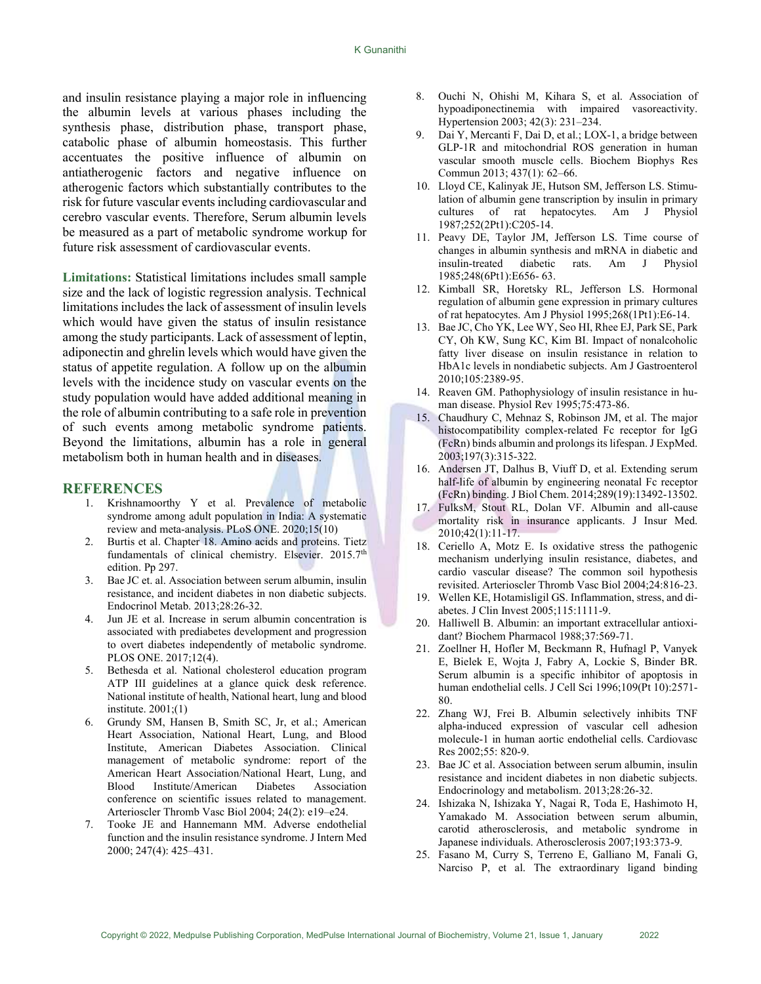and insulin resistance playing a major role in influencing the albumin levels at various phases including the synthesis phase, distribution phase, transport phase, catabolic phase of albumin homeostasis. This further accentuates the positive influence of albumin on antiatherogenic factors and negative influence on atherogenic factors which substantially contributes to the risk for future vascular events including cardiovascular and cerebro vascular events. Therefore, Serum albumin levels be measured as a part of metabolic syndrome workup for future risk assessment of cardiovascular events.

Limitations: Statistical limitations includes small sample size and the lack of logistic regression analysis. Technical limitations includes the lack of assessment of insulin levels which would have given the status of insulin resistance among the study participants. Lack of assessment of leptin, adiponectin and ghrelin levels which would have given the status of appetite regulation. A follow up on the albumin levels with the incidence study on vascular events on the study population would have added additional meaning in the role of albumin contributing to a safe role in prevention of such events among metabolic syndrome patients. Beyond the limitations, albumin has a role in general metabolism both in human health and in diseases.

#### **REFERENCES**

- 1. Krishnamoorthy Y et al. Prevalence of metabolic syndrome among adult population in India: A systematic review and meta-analysis. PLoS ONE. 2020;15(10)
- 2. Burtis et al. Chapter 18. Amino acids and proteins. Tietz fundamentals of clinical chemistry. Elsevier. 2015.7th edition. Pp 297.
- 3. Bae JC et. al. Association between serum albumin, insulin resistance, and incident diabetes in non diabetic subjects. Endocrinol Metab. 2013;28:26-32.
- 4. Jun JE et al. Increase in serum albumin concentration is associated with prediabetes development and progression to overt diabetes independently of metabolic syndrome. PLOS ONE. 2017;12(4).
- 5. Bethesda et al. National cholesterol education program ATP III guidelines at a glance quick desk reference. National institute of health, National heart, lung and blood institute. 2001;(1)
- 6. Grundy SM, Hansen B, Smith SC, Jr, et al.; American Heart Association, National Heart, Lung, and Blood Institute, American Diabetes Association. Clinical management of metabolic syndrome: report of the American Heart Association/National Heart, Lung, and Blood Institute/American Diabetes Association conference on scientific issues related to management. Arterioscler Thromb Vasc Biol 2004; 24(2): e19–e24.
- 7. Tooke JE and Hannemann MM. Adverse endothelial function and the insulin resistance syndrome. J Intern Med 2000; 247(4): 425–431.
- 8. Ouchi N, Ohishi M, Kihara S, et al. Association of hypoadiponectinemia with impaired vasoreactivity. Hypertension 2003; 42(3): 231–234.
- 9. Dai Y, Mercanti F, Dai D, et al.; LOX-1, a bridge between GLP-1R and mitochondrial ROS generation in human vascular smooth muscle cells. Biochem Biophys Res Commun 2013; 437(1): 62–66.
- 10. Lloyd CE, Kalinyak JE, Hutson SM, Jefferson LS. Stimulation of albumin gene transcription by insulin in primary cultures of rat hepatocytes. Am J Physiol 1987;252(2Pt1):C205-14.
- 11. Peavy DE, Taylor JM, Jefferson LS. Time course of changes in albumin synthesis and mRNA in diabetic and insulin-treated diabetic rats. Am J Physiol 1985;248(6Pt1):E656- 63.
- 12. Kimball SR, Horetsky RL, Jefferson LS. Hormonal regulation of albumin gene expression in primary cultures of rat hepatocytes. Am J Physiol 1995;268(1Pt1):E6-14.
- 13. Bae JC, Cho YK, Lee WY, Seo HI, Rhee EJ, Park SE, Park CY, Oh KW, Sung KC, Kim BI. Impact of nonalcoholic fatty liver disease on insulin resistance in relation to HbA1c levels in nondiabetic subjects. Am J Gastroenterol 2010;105:2389-95.
- 14. Reaven GM. Pathophysiology of insulin resistance in human disease. Physiol Rev 1995;75:473-86.
- 15. Chaudhury C, Mehnaz S, Robinson JM, et al. The major histocompatibility complex-related Fc receptor for IgG (FcRn) binds albumin and prolongs its lifespan. J ExpMed. 2003;197(3):315-322.
- 16. Andersen JT, Dalhus B, Viuff D, et al. Extending serum half-life of albumin by engineering neonatal Fc receptor (FcRn) binding. J Biol Chem. 2014;289(19):13492-13502.
- 17. FulksM, Stout RL, Dolan VF. Albumin and all-cause mortality risk in insurance applicants. J Insur Med. 2010;42(1):11-17.
- 18. Ceriello A, Motz E. Is oxidative stress the pathogenic mechanism underlying insulin resistance, diabetes, and cardio vascular disease? The common soil hypothesis revisited. Arterioscler Thromb Vasc Biol 2004;24:816-23.
- 19. Wellen KE, Hotamisligil GS. Inflammation, stress, and diabetes. J Clin Invest 2005;115:1111-9.
- 20. Halliwell B. Albumin: an important extracellular antioxidant? Biochem Pharmacol 1988;37:569-71.
- 21. Zoellner H, Hofler M, Beckmann R, Hufnagl P, Vanyek E, Bielek E, Wojta J, Fabry A, Lockie S, Binder BR. Serum albumin is a specific inhibitor of apoptosis in human endothelial cells. J Cell Sci 1996;109(Pt 10):2571- 80.
- 22. Zhang WJ, Frei B. Albumin selectively inhibits TNF alpha-induced expression of vascular cell adhesion molecule-1 in human aortic endothelial cells. Cardiovasc Res 2002;55: 820-9.
- 23. Bae JC et al. Association between serum albumin, insulin resistance and incident diabetes in non diabetic subjects. Endocrinology and metabolism. 2013;28:26-32.
- 24. Ishizaka N, Ishizaka Y, Nagai R, Toda E, Hashimoto H, Yamakado M. Association between serum albumin, carotid atherosclerosis, and metabolic syndrome in Japanese individuals. Atherosclerosis 2007;193:373-9.
- 25. Fasano M, Curry S, Terreno E, Galliano M, Fanali G, Narciso P, et al. The extraordinary ligand binding